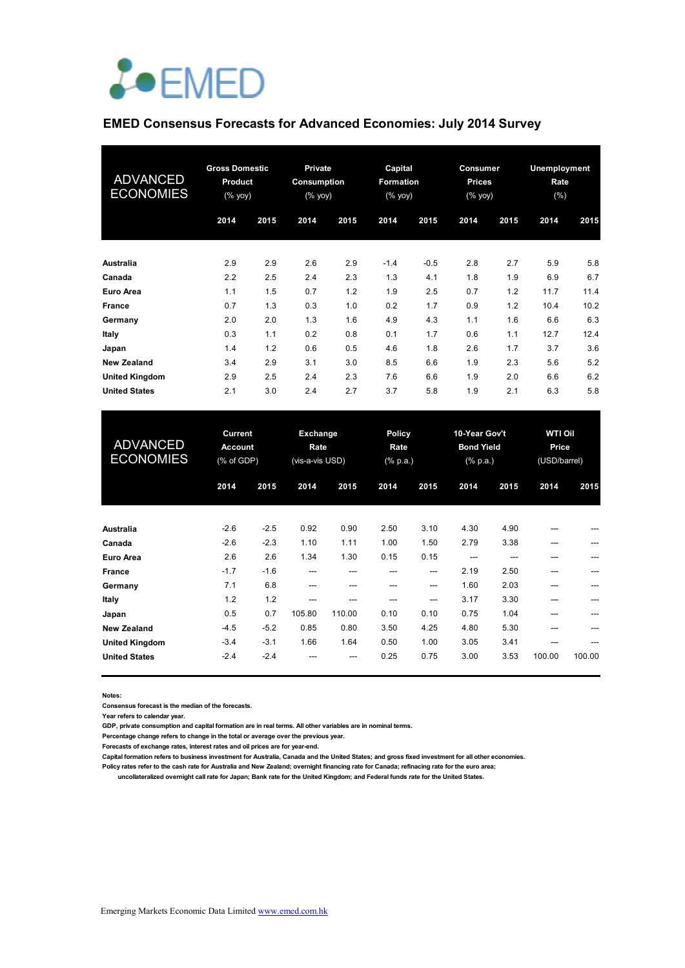

# **EMED Consensus Forecasts for Advanced Economies: July 2014 Survey**

| <b>ADVANCED</b><br><b>ECONOMIES</b> | <b>Gross Domestic</b><br><b>Product</b><br>$(%$ (% yoy) |      | <b>Private</b><br>Consumption<br>$(% \mathbf{y}\right)$ (% $\overline{y}$ yoy) |      | Capital<br>Formation<br>(% yoy) |        | Consumer<br><b>Prices</b><br>(% yoy) |      | <b>Unemployment</b><br>Rate<br>(% ) |      |
|-------------------------------------|---------------------------------------------------------|------|--------------------------------------------------------------------------------|------|---------------------------------|--------|--------------------------------------|------|-------------------------------------|------|
|                                     | 2014                                                    | 2015 | 2014                                                                           | 2015 | 2014                            | 2015   | 2014                                 | 2015 | 2014                                | 2015 |
| <b>Australia</b>                    | 2.9                                                     | 2.9  | 2.6                                                                            | 2.9  | $-1.4$                          | $-0.5$ | 2.8                                  | 2.7  | 5.9                                 | 5.8  |
| Canada                              | 2.2                                                     | 2.5  | 2.4                                                                            | 2.3  | 1.3                             | 4.1    | 1.8                                  | 1.9  | 6.9                                 | 6.7  |
| Euro Area                           | 1.1                                                     | 1.5  | 0.7                                                                            | 1.2  | 1.9                             | 2.5    | 0.7                                  | 1.2  | 11.7                                | 11.4 |
| France                              | 0.7                                                     | 1.3  | 0.3                                                                            | 1.0  | 0.2                             | 1.7    | 0.9                                  | 1.2  | 10.4                                | 10.2 |
| Germany                             | 2.0                                                     | 2.0  | 1.3                                                                            | 1.6  | 4.9                             | 4.3    | 1.1                                  | 1.6  | 6.6                                 | 6.3  |
| Italy                               | 0.3                                                     | 1.1  | 0.2                                                                            | 0.8  | 0.1                             | 1.7    | 0.6                                  | 1.1  | 12.7                                | 12.4 |
| Japan                               | 1.4                                                     | 1.2  | 0.6                                                                            | 0.5  | 4.6                             | 1.8    | 2.6                                  | 1.7  | 3.7                                 | 3.6  |
| <b>New Zealand</b>                  | 3.4                                                     | 2.9  | 3.1                                                                            | 3.0  | 8.5                             | 6.6    | 1.9                                  | 2.3  | 5.6                                 | 5.2  |
| <b>United Kingdom</b>               | 2.9                                                     | 2.5  | 2.4                                                                            | 2.3  | 7.6                             | 6.6    | 1.9                                  | 2.0  | 6.6                                 | 6.2  |
| <b>United States</b>                | 2.1                                                     | 3.0  | 2.4                                                                            | 2.7  | 3.7                             | 5.8    | 1.9                                  | 2.1  | 6.3                                 | 5.8  |

| <b>ADVANCED</b><br><b>ECONOMIES</b> | <b>Current</b><br><b>Account</b><br>(% of GDP) |        | <b>Exchange</b><br>Rate<br>(vis-a-vis USD) |        | <b>Policy</b><br>Rate<br>$(% \mathbb{R}^2)$ (% p.a.) |       | 10-Year Gov't<br><b>Bond Yield</b><br>$(% \mathbb{R}^2)$ (% p.a.) |      | <b>WTI Oil</b><br>Price<br>(USD/barrel) |        |
|-------------------------------------|------------------------------------------------|--------|--------------------------------------------|--------|------------------------------------------------------|-------|-------------------------------------------------------------------|------|-----------------------------------------|--------|
|                                     | 2014                                           | 2015   | 2014                                       | 2015   | 2014                                                 | 2015  | 2014                                                              | 2015 | 2014                                    | 2015   |
| Australia                           | $-2.6$                                         | $-2.5$ | 0.92                                       | 0.90   | 2.50                                                 | 3.10  | 4.30                                                              | 4.90 |                                         |        |
| Canada                              | $-2.6$                                         | $-2.3$ | 1.10                                       | 1.11   | 1.00                                                 | 1.50  | 2.79                                                              | 3.38 | ---                                     |        |
| Euro Area                           | 2.6                                            | 2.6    | 1.34                                       | 1.30   | 0.15                                                 | 0.15  | ---                                                               |      |                                         |        |
| France                              | $-1.7$                                         | $-1.6$ | ---                                        | ---    |                                                      | ---   | 2.19                                                              | 2.50 |                                         |        |
| Germany                             | 7.1                                            | 6.8    | $---$                                      | ---    |                                                      | $---$ | 1.60                                                              | 2.03 |                                         |        |
| Italy                               | 1.2                                            | 1.2    | ---                                        |        | ---                                                  | $---$ | 3.17                                                              | 3.30 | ---                                     |        |
| Japan                               | 0.5                                            | 0.7    | 105.80                                     | 110.00 | 0.10                                                 | 0.10  | 0.75                                                              | 1.04 |                                         |        |
| <b>New Zealand</b>                  | $-4.5$                                         | $-5.2$ | 0.85                                       | 0.80   | 3.50                                                 | 4.25  | 4.80                                                              | 5.30 |                                         |        |
| <b>United Kingdom</b>               | $-3.4$                                         | $-3.1$ | 1.66                                       | 1.64   | 0.50                                                 | 1.00  | 3.05                                                              | 3.41 |                                         |        |
| <b>United States</b>                | $-2.4$                                         | $-2.4$ |                                            |        | 0.25                                                 | 0.75  | 3.00                                                              | 3.53 | 100.00                                  | 100.00 |

**Notes:** 

**Consensus forecast is the median of the forecasts.**

**Year refers to calendar year.**

**GDP, private consumption and capital formation are in real terms. All other variables are in nominal terms.**

**Percentage change refers to change in the total or average over the previous year.**

**Forecasts of exchange rates, interest rates and oil prices are for year-end.**

**Capital formation refers to business investment for Australia, Canada and the United States; and gross fixed investment for all other economies.**

**Policy rates refer to the cash rate for Australia and New Zealand; overnight financing rate for Canada; refinacing rate for the euro area; uncollateralized overnight call rate for Japan; Bank rate for the United Kingdom; and Federal funds rate for the United States.**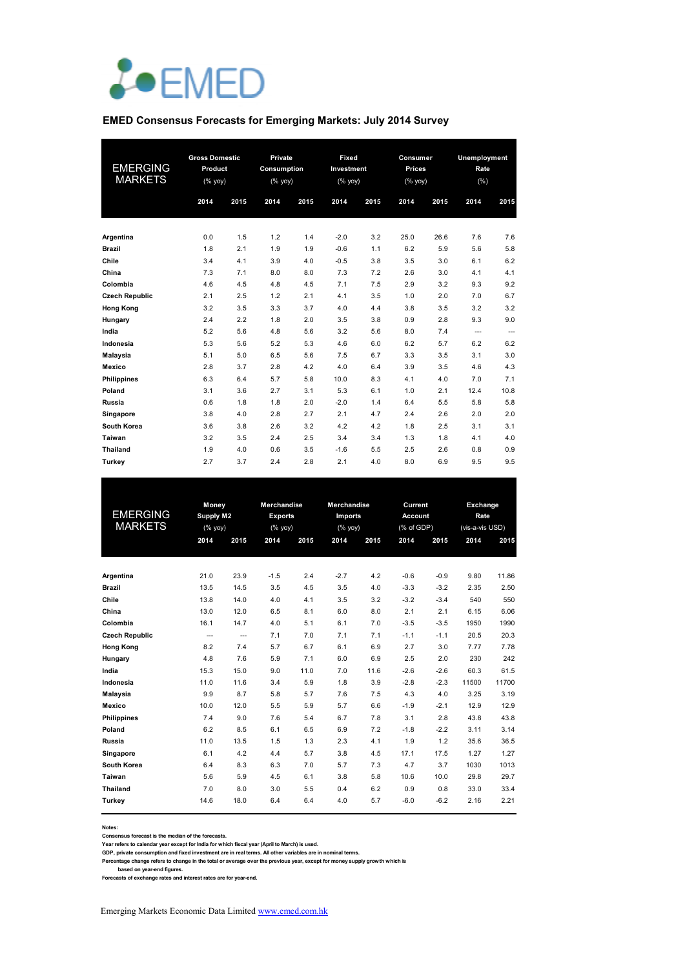

#### **EMED Consensus Forecasts for Emerging Markets: July 2014 Survey**

| <b>EMERGING</b><br><b>MARKETS</b> | <b>Gross Domestic</b><br>Product<br>$(%$ (% yoy)<br>2014 | 2015 | Private<br>Consumption<br>$(%$ $\gamma$ <sup><math>\alpha</math></sup> yoy)<br>2014 | 2015 | Fixed<br>Investment<br>(%<br>2014 | 2015 | Consumer<br>Prices<br>$(%$ (% yoy)<br>2014 | 2015 | Unemployment<br>Rate<br>(% )<br>2014 | 2015 |
|-----------------------------------|----------------------------------------------------------|------|-------------------------------------------------------------------------------------|------|-----------------------------------|------|--------------------------------------------|------|--------------------------------------|------|
| Argentina                         | 0.0                                                      | 1.5  | 1.2                                                                                 | 1.4  | $-2.0$                            | 3.2  | 25.0                                       | 26.6 | 7.6                                  | 7.6  |
| <b>Brazil</b>                     | 1.8                                                      | 2.1  | 1.9                                                                                 | 1.9  | $-0.6$                            | 1.1  | 6.2                                        | 5.9  | 5.6                                  | 5.8  |
| Chile                             | 3.4                                                      | 4.1  | 3.9                                                                                 | 4.0  | $-0.5$                            | 3.8  | 3.5                                        | 3.0  | 6.1                                  | 6.2  |
| China                             | 7.3                                                      | 7.1  | 8.0                                                                                 | 8.0  | 7.3                               | 7.2  | 2.6                                        | 3.0  | 4.1                                  | 4.1  |
| Colombia                          | 4.6                                                      | 4.5  | 4.8                                                                                 | 4.5  | 7.1                               | 7.5  | 2.9                                        | 3.2  | 9.3                                  | 9.2  |
| <b>Czech Republic</b>             | 2.1                                                      | 2.5  | 1.2                                                                                 | 2.1  | 4.1                               | 3.5  | 1.0                                        | 2.0  | 7.0                                  | 6.7  |
| <b>Hong Kong</b>                  | 3.2                                                      | 3.5  | 3.3                                                                                 | 3.7  | 4.0                               | 4.4  | 3.8                                        | 3.5  | 3.2                                  | 3.2  |
| Hungary                           | 2.4                                                      | 2.2  | 1.8                                                                                 | 2.0  | 3.5                               | 3.8  | 0.9                                        | 2.8  | 9.3                                  | 9.0  |
| India                             | 5.2                                                      | 5.6  | 4.8                                                                                 | 5.6  | 3.2                               | 5.6  | 8.0                                        | 7.4  | $\overline{a}$                       | ---  |
| Indonesia                         | 5.3                                                      | 5.6  | 5.2                                                                                 | 5.3  | 4.6                               | 6.0  | 6.2                                        | 5.7  | 6.2                                  | 6.2  |
| Malaysia                          | 5.1                                                      | 5.0  | 6.5                                                                                 | 5.6  | 7.5                               | 6.7  | 3.3                                        | 3.5  | 3.1                                  | 3.0  |
| <b>Mexico</b>                     | 2.8                                                      | 3.7  | 2.8                                                                                 | 4.2  | 4.0                               | 6.4  | 3.9                                        | 3.5  | 4.6                                  | 4.3  |
| <b>Philippines</b>                | 6.3                                                      | 6.4  | 5.7                                                                                 | 5.8  | 10.0                              | 8.3  | 4.1                                        | 4.0  | 7.0                                  | 7.1  |
| Poland                            | 3.1                                                      | 3.6  | 2.7                                                                                 | 3.1  | 5.3                               | 6.1  | 1.0                                        | 2.1  | 12.4                                 | 10.8 |
| <b>Russia</b>                     | 0.6                                                      | 1.8  | 1.8                                                                                 | 2.0  | $-2.0$                            | 1.4  | 6.4                                        | 5.5  | 5.8                                  | 5.8  |
| Singapore                         | 3.8                                                      | 4.0  | 2.8                                                                                 | 2.7  | 2.1                               | 4.7  | 2.4                                        | 2.6  | 2.0                                  | 2.0  |
| South Korea                       | 3.6                                                      | 3.8  | 2.6                                                                                 | 3.2  | 4.2                               | 4.2  | 1.8                                        | 2.5  | 3.1                                  | 3.1  |
| Taiwan                            | 3.2                                                      | 3.5  | 2.4                                                                                 | 2.5  | 3.4                               | 3.4  | 1.3                                        | 1.8  | 4.1                                  | 4.0  |
| <b>Thailand</b>                   | 1.9                                                      | 4.0  | 0.6                                                                                 | 3.5  | $-1.6$                            | 5.5  | 2.5                                        | 2.6  | 0.8                                  | 0.9  |
| Turkey                            | 2.7                                                      | 3.7  | 2.4                                                                                 | 2.8  | 2.1                               | 4.0  | 8.0                                        | 6.9  | 9.5                                  | 9.5  |

|                       | Money        |                          | <b>Merchandise</b> |      | <b>Merchandise</b> |      | Current        |        | <b>Exchange</b> |       |
|-----------------------|--------------|--------------------------|--------------------|------|--------------------|------|----------------|--------|-----------------|-------|
| <b>EMERGING</b>       | Supply M2    |                          | <b>Exports</b>     |      | Imports            |      | <b>Account</b> |        | Rate            |       |
| <b>MARKETS</b>        | $(%$ (% yoy) |                          | $(%$ (% yoy)       |      | $(%$ (% yoy)       |      | (% of GDP)     |        | (vis-a-vis USD) |       |
|                       | 2014         | 2015                     | 2014               | 2015 | 2014               | 2015 | 2014           | 2015   | 2014            | 2015  |
|                       |              |                          |                    |      |                    |      |                |        |                 |       |
| Argentina             | 21.0         | 23.9                     | $-1.5$             | 2.4  | $-2.7$             | 4.2  | $-0.6$         | $-0.9$ | 9.80            | 11.86 |
| <b>Brazil</b>         | 13.5         | 14.5                     | 3.5                | 4.5  | 3.5                | 4.0  | $-3.3$         | $-3.2$ | 2.35            | 2.50  |
| Chile                 | 13.8         | 14.0                     | 4.0                | 4.1  | 3.5                | 3.2  | $-3.2$         | $-3.4$ | 540             | 550   |
| China                 | 13.0         | 12.0                     | 6.5                | 8.1  | 6.0                | 8.0  | 2.1            | 2.1    | 6.15            | 6.06  |
| Colombia              | 16.1         | 14.7                     | 4.0                | 5.1  | 6.1                | 7.0  | $-3.5$         | $-3.5$ | 1950            | 1990  |
| <b>Czech Republic</b> | $\cdots$     | $\overline{\phantom{a}}$ | 7.1                | 7.0  | 7.1                | 7.1  | $-1.1$         | $-1.1$ | 20.5            | 20.3  |
| <b>Hong Kong</b>      | 8.2          | 7.4                      | 5.7                | 6.7  | 6.1                | 6.9  | 2.7            | 3.0    | 7.77            | 7.78  |
| Hungary               | 4.8          | 7.6                      | 5.9                | 7.1  | 6.0                | 6.9  | 2.5            | 2.0    | 230             | 242   |
| India                 | 15.3         | 15.0                     | 9.0                | 11.0 | 7.0                | 11.6 | $-2.6$         | $-2.6$ | 60.3            | 61.5  |
| Indonesia             | 11.0         | 11.6                     | 3.4                | 5.9  | 1.8                | 3.9  | $-2.8$         | $-2.3$ | 11500           | 11700 |
| Malaysia              | 9.9          | 8.7                      | 5.8                | 5.7  | 7.6                | 7.5  | 4.3            | 4.0    | 3.25            | 3.19  |
| <b>Mexico</b>         | 10.0         | 12.0                     | 5.5                | 5.9  | 5.7                | 6.6  | $-1.9$         | $-2.1$ | 12.9            | 12.9  |
| <b>Philippines</b>    | 7.4          | 9.0                      | 7.6                | 5.4  | 6.7                | 7.8  | 3.1            | 2.8    | 43.8            | 43.8  |
| Poland                | 6.2          | 8.5                      | 6.1                | 6.5  | 6.9                | 7.2  | $-1.8$         | $-2.2$ | 3.11            | 3.14  |
| Russia                | 11.0         | 13.5                     | 1.5                | 1.3  | 2.3                | 4.1  | 1.9            | 1.2    | 35.6            | 36.5  |
| Singapore             | 6.1          | 4.2                      | 4.4                | 5.7  | 3.8                | 4.5  | 17.1           | 17.5   | 1.27            | 1.27  |
| South Korea           | 6.4          | 8.3                      | 6.3                | 7.0  | 5.7                | 7.3  | 4.7            | 3.7    | 1030            | 1013  |
| Taiwan                | 5.6          | 5.9                      | 4.5                | 6.1  | 3.8                | 5.8  | 10.6           | 10.0   | 29.8            | 29.7  |
| <b>Thailand</b>       | 7.0          | 8.0                      | 3.0                | 5.5  | 0.4                | 6.2  | 0.9            | 0.8    | 33.0            | 33.4  |
| <b>Turkey</b>         | 14.6         | 18.0                     | 6.4                | 6.4  | 4.0                | 5.7  | $-6.0$         | $-6.2$ | 2.16            | 2.21  |

#### **Notes:**

**Consensus forecast is the median of the forecasts.**

Year refers to calendar year except for India for which fiscal year (April to March) is used.<br>GDP, private consumption and fixed investment are in real terms. All other variables are in nominal terms.<br>Percentage change ref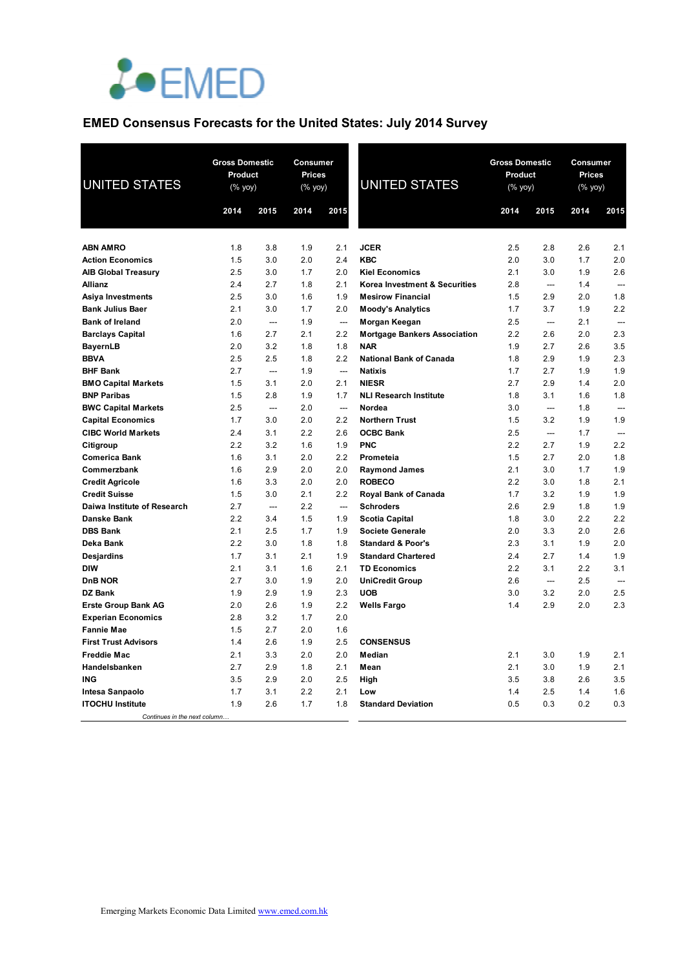

# **EMED Consensus Forecasts for the United States: July 2014 Survey**

| <b>UNITED STATES</b>                       | <b>Gross Domestic</b><br>Product<br>(% yoy) |                          | Consumer<br><b>Prices</b><br>(% yoy) |                          | <b>UNITED STATES</b>                | <b>Gross Domestic</b><br>Product<br>(% yoy) |            | Consumer<br><b>Prices</b><br>(% yoy) |                |
|--------------------------------------------|---------------------------------------------|--------------------------|--------------------------------------|--------------------------|-------------------------------------|---------------------------------------------|------------|--------------------------------------|----------------|
|                                            | 2014                                        | 2015                     | 2014                                 | 2015                     |                                     | 2014                                        | 2015       | 2014                                 | 2015           |
|                                            |                                             |                          |                                      |                          |                                     |                                             |            |                                      |                |
| <b>ABN AMRO</b>                            | 1.8                                         | 3.8                      | 1.9                                  | 2.1                      | <b>JCER</b>                         | 2.5                                         | 2.8        | 2.6                                  | 2.1            |
| <b>Action Economics</b>                    | 1.5                                         | 3.0                      | 2.0                                  | 2.4                      | <b>KBC</b>                          | 2.0                                         | 3.0        | 1.7                                  | 2.0            |
| <b>AIB Global Treasury</b>                 | 2.5                                         | 3.0                      | 1.7                                  | 2.0                      | <b>Kiel Economics</b>               | 2.1                                         | 3.0        | 1.9                                  | 2.6            |
| <b>Allianz</b>                             | 2.4                                         | 2.7                      | 1.8                                  | 2.1                      | Korea Investment & Securities       | 2.8                                         | ---        | 1.4                                  | $\overline{a}$ |
| Asiya Investments                          | 2.5                                         | 3.0                      | 1.6                                  | 1.9                      | <b>Mesirow Financial</b>            | 1.5                                         | 2.9        | 2.0                                  | 1.8            |
| <b>Bank Julius Baer</b>                    | 2.1                                         | 3.0                      | 1.7                                  | 2.0                      | <b>Moody's Analytics</b>            | 1.7                                         | 3.7        | 1.9                                  | 2.2            |
| <b>Bank of Ireland</b>                     | 2.0                                         | ---                      | 1.9                                  | $\overline{\phantom{a}}$ | Morgan Keegan                       | 2.5                                         | ---        | 2.1                                  | $\overline{a}$ |
| <b>Barclays Capital</b>                    | 1.6                                         | 2.7                      | 2.1                                  | 2.2                      | <b>Mortgage Bankers Association</b> | 2.2                                         | 2.6        | 2.0                                  | 2.3            |
| <b>BayernLB</b>                            | 2.0                                         | 3.2                      | 1.8                                  | 1.8                      | <b>NAR</b>                          | 1.9                                         | 2.7        | 2.6                                  | 3.5            |
| <b>BBVA</b>                                | 2.5                                         | 2.5                      | 1.8                                  | 2.2                      | <b>National Bank of Canada</b>      | 1.8                                         | 2.9        | 1.9                                  | 2.3            |
| <b>BHF Bank</b>                            | 2.7                                         | $\overline{a}$           | 1.9                                  | $\overline{\phantom{a}}$ | <b>Natixis</b>                      | 1.7                                         | 2.7        | 1.9                                  | 1.9            |
| <b>BMO Capital Markets</b>                 | 1.5                                         | 3.1                      | 2.0                                  | 2.1                      | <b>NIESR</b>                        | 2.7                                         | 2.9        | 1.4                                  | 2.0            |
| <b>BNP Paribas</b>                         | 1.5                                         | 2.8                      | 1.9                                  | 1.7                      | <b>NLI Research Institute</b>       | 1.8                                         | 3.1        | 1.6                                  | 1.8            |
| <b>BWC Capital Markets</b>                 | 2.5                                         | $\overline{\phantom{a}}$ | 2.0                                  | $\overline{\phantom{a}}$ | Nordea                              | 3.0                                         | ---        | 1.8                                  | $\overline{a}$ |
| <b>Capital Economics</b>                   | 1.7                                         | 3.0                      | 2.0                                  | 2.2                      | <b>Northern Trust</b>               | 1.5                                         | 3.2        | 1.9                                  | 1.9            |
| <b>CIBC World Markets</b>                  | 2.4                                         | 3.1                      | 2.2                                  | 2.6                      | <b>OCBC Bank</b>                    | 2.5                                         | ---        | 1.7                                  | $\sim$         |
| Citigroup                                  | 2.2                                         | 3.2                      | 1.6                                  | 1.9                      | <b>PNC</b>                          | 2.2                                         | 2.7        | 1.9                                  | 2.2            |
| <b>Comerica Bank</b>                       | 1.6                                         | 3.1                      | 2.0                                  | 2.2                      | Prometeia                           | 1.5                                         | 2.7        | 2.0                                  | 1.8            |
| Commerzbank                                | 1.6                                         | 2.9                      | 2.0                                  | 2.0                      | <b>Raymond James</b>                | 2.1                                         | 3.0        | 1.7                                  | 1.9            |
| <b>Credit Agricole</b>                     | 1.6                                         | 3.3                      | 2.0                                  | 2.0                      | <b>ROBECO</b>                       | 2.2                                         | 3.0        | 1.8                                  | 2.1            |
| <b>Credit Suisse</b>                       | 1.5                                         | 3.0                      | 2.1                                  | 2.2                      | Royal Bank of Canada                | 1.7                                         | 3.2        | 1.9                                  | 1.9            |
| Daiwa Institute of Research                | 2.7                                         | $\overline{a}$           | 2.2                                  | $\sim$                   | <b>Schroders</b>                    | 2.6                                         | 2.9        | 1.8                                  | 1.9            |
| <b>Danske Bank</b>                         | 2.2                                         | 3.4                      | 1.5                                  | 1.9                      | <b>Scotia Capital</b>               | 1.8                                         | 3.0        | 2.2                                  | 2.2            |
| <b>DBS Bank</b>                            | 2.1                                         | 2.5                      | 1.7                                  | 1.9                      | <b>Societe Generale</b>             | 2.0                                         | 3.3        | 2.0                                  | 2.6            |
| Deka Bank                                  | 2.2                                         | 3.0                      | 1.8                                  | 1.8                      | <b>Standard &amp; Poor's</b>        | 2.3                                         | 3.1        | 1.9                                  | 2.0            |
| Desjardins                                 | 1.7                                         | 3.1                      | 2.1                                  | 1.9                      | <b>Standard Chartered</b>           | 2.4                                         | 2.7        | 1.4                                  | 1.9            |
| <b>DIW</b>                                 | 2.1                                         | 3.1                      | 1.6                                  | 2.1                      | <b>TD Economics</b>                 | 2.2                                         | 3.1        | 2.2                                  | 3.1            |
| <b>DnB NOR</b>                             | 2.7                                         | 3.0                      | 1.9                                  | 2.0                      | <b>UniCredit Group</b>              | 2.6                                         | ---        | 2.5                                  | ---            |
| <b>DZ Bank</b>                             | 1.9                                         | 2.9                      | 1.9                                  | 2.3                      | <b>UOB</b>                          | 3.0                                         | 3.2        | 2.0                                  | 2.5            |
| <b>Erste Group Bank AG</b>                 | 2.0                                         | 2.6                      | 1.9                                  | 2.2                      | <b>Wells Fargo</b>                  | 1.4                                         | 2.9        | 2.0                                  | 2.3            |
| <b>Experian Economics</b>                  | 2.8                                         | 3.2                      | 1.7                                  | 2.0                      |                                     |                                             |            |                                      |                |
| <b>Fannie Mae</b>                          | 1.5                                         | 2.7                      | 2.0<br>1.9                           | 1.6                      |                                     |                                             |            |                                      |                |
| <b>First Trust Advisors</b>                | 1.4                                         | 2.6                      | 2.0                                  | 2.5                      | <b>CONSENSUS</b>                    |                                             |            |                                      |                |
| <b>Freddie Mac</b>                         | 2.1                                         | 3.3                      |                                      | 2.0                      | Median                              | 2.1                                         | 3.0        | 1.9                                  | 2.1<br>2.1     |
| Handelsbanken                              | 2.7                                         | 2.9                      | 1.8<br>2.0                           | 2.1                      | Mean                                | 2.1<br>3.5                                  | 3.0        | 1.9                                  | 3.5            |
| ING                                        | 3.5<br>1.7                                  | 2.9                      | 2.2                                  | 2.5                      | High                                | 1.4                                         | 3.8        | 2.6                                  |                |
| Intesa Sanpaolo<br><b>ITOCHU Institute</b> | 1.9                                         | 3.1<br>2.6               | 1.7                                  | 2.1<br>1.8               | Low<br><b>Standard Deviation</b>    | 0.5                                         | 2.5<br>0.3 | 1.4<br>0.2                           | 1.6<br>0.3     |
| Continues in the next column               |                                             |                          |                                      |                          |                                     |                                             |            |                                      |                |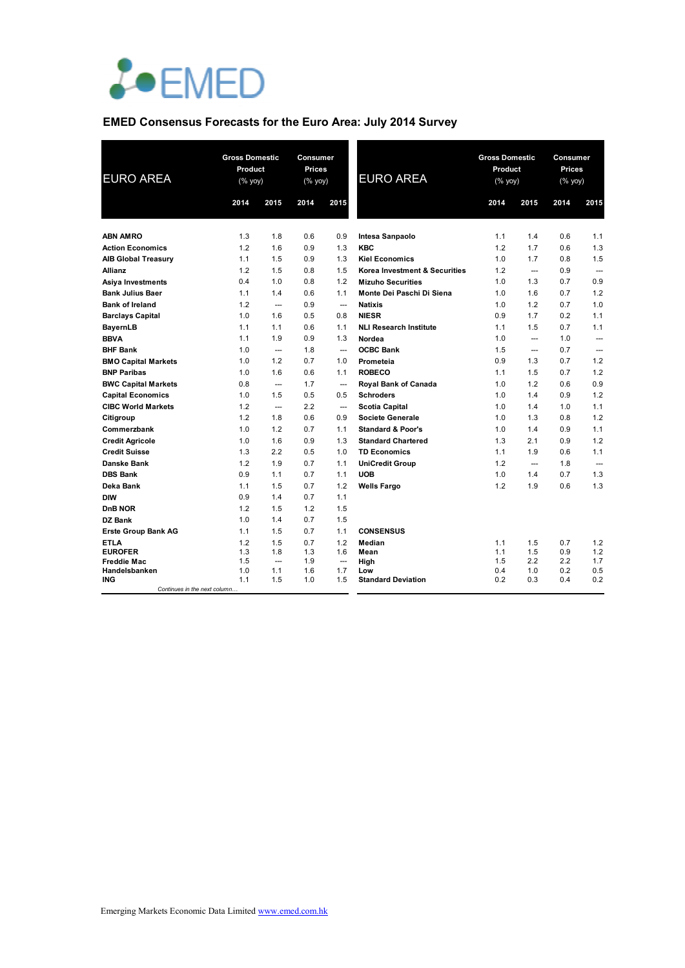

## **EMED Consensus Forecasts for the Euro Area: July 2014 Survey**

| <b>EURO AREA</b>                     |            | <b>Gross Domestic</b><br>Product<br>$(% \mathsf{Y}^{\prime }\mathsf{Y}^{\prime }\mathsf{Y}^{\prime })$ |            | Consumer<br><b>Prices</b><br>(% | <b>EURO AREA</b>              | <b>Gross Domestic</b><br>Product<br>(% yoy) |                | Consumer<br><b>Prices</b><br>(% yoy) |                |
|--------------------------------------|------------|--------------------------------------------------------------------------------------------------------|------------|---------------------------------|-------------------------------|---------------------------------------------|----------------|--------------------------------------|----------------|
|                                      | 2014       | 2015                                                                                                   | 2014       | 2015                            |                               | 2014                                        | 2015           | 2014                                 | 2015           |
|                                      |            |                                                                                                        |            |                                 |                               |                                             |                |                                      |                |
| <b>ABN AMRO</b>                      | 1.3        | 1.8                                                                                                    | 0.6        | 0.9                             | Intesa Sanpaolo               | 1.1                                         | 1.4            | 0.6                                  | 1.1            |
| <b>Action Economics</b>              | 1.2        | 1.6                                                                                                    | 0.9        | 1.3                             | <b>KBC</b>                    | 1.2                                         | 1.7            | 0.6                                  | 1.3            |
| <b>AIB Global Treasury</b>           | 1.1        | 1.5                                                                                                    | 0.9        | 1.3                             | <b>Kiel Economics</b>         | 1.0                                         | 1.7            | 0.8                                  | 1.5            |
| <b>Allianz</b>                       | 1.2        | 1.5                                                                                                    | 0.8        | 1.5                             | Korea Investment & Securities | 1.2                                         | ---            | 0.9                                  | $---$          |
| Asiya Investments                    | 0.4        | 1.0                                                                                                    | 0.8        | 1.2                             | <b>Mizuho Securities</b>      | 1.0                                         | 1.3            | 0.7                                  | 0.9            |
| <b>Bank Julius Baer</b>              | 1.1        | 1.4                                                                                                    | 0.6        | 1.1                             | Monte Dei Paschi Di Siena     | 1.0                                         | 1.6            | 0.7                                  | 1.2            |
| <b>Bank of Ireland</b>               | 1.2        | $\overline{\phantom{a}}$                                                                               | 0.9        | $\overline{\phantom{a}}$        | <b>Natixis</b>                | 1.0                                         | 1.2            | 0.7                                  | 1.0            |
| <b>Barclays Capital</b>              | 1.0        | 1.6                                                                                                    | 0.5        | 0.8                             | <b>NIESR</b>                  | 0.9                                         | 1.7            | 0.2                                  | 1.1            |
| <b>BayernLB</b>                      | 1.1        | 1.1                                                                                                    | 0.6        | 1.1                             | <b>NLI Research Institute</b> | 1.1                                         | 1.5            | 0.7                                  | 1.1            |
| <b>BBVA</b>                          | 1.1        | 1.9                                                                                                    | 0.9        | 1.3                             | Nordea                        | 1.0                                         | $\overline{a}$ | 1.0                                  | $\overline{a}$ |
| <b>BHF Bank</b>                      | 1.0        | $\overline{\phantom{a}}$                                                                               | 1.8        | $\overline{\phantom{a}}$        | <b>OCBC Bank</b>              | 1.5                                         | $\overline{a}$ | 0.7                                  | $\overline{a}$ |
| <b>BMO Capital Markets</b>           | 1.0        | 1.2                                                                                                    | 0.7        | 1.0                             | Prometeia                     | 0.9                                         | 1.3            | 0.7                                  | 1.2            |
| <b>BNP Paribas</b>                   | 1.0        | 1.6                                                                                                    | 0.6        | 1.1                             | <b>ROBECO</b>                 | 1.1                                         | 1.5            | 0.7                                  | 1.2            |
| <b>BWC Capital Markets</b>           | 0.8        | $\overline{\phantom{a}}$                                                                               | 1.7        | $\overline{\phantom{a}}$        | Royal Bank of Canada          | 1.0                                         | 1.2            | 0.6                                  | 0.9            |
| <b>Capital Economics</b>             | 1.0        | 1.5                                                                                                    | 0.5        | 0.5                             | <b>Schroders</b>              | 1.0                                         | 1.4            | 0.9                                  | 1.2            |
| <b>CIBC World Markets</b>            | 1.2        | $\hspace{0.05cm} \ldots$                                                                               | 2.2        | ---                             | <b>Scotia Capital</b>         | 1.0                                         | 1.4            | 1.0                                  | 1.1            |
| Citigroup                            | 1.2        | 1.8                                                                                                    | 0.6        | 0.9                             | <b>Societe Generale</b>       | 1.0                                         | 1.3            | 0.8                                  | 1.2            |
| Commerzbank                          | 1.0        | 1.2                                                                                                    | 0.7        | 1.1                             | <b>Standard &amp; Poor's</b>  | 1.0                                         | 1.4            | 0.9                                  | 1.1            |
| <b>Credit Agricole</b>               | 1.0        | 1.6                                                                                                    | 0.9        | 1.3                             | <b>Standard Chartered</b>     | 1.3                                         | 2.1            | 0.9                                  | 1.2            |
| <b>Credit Suisse</b>                 | 1.3        | 2.2                                                                                                    | 0.5        | 1.0                             | <b>TD Economics</b>           | 1.1                                         | 1.9            | 0.6                                  | 1.1            |
| Danske Bank                          | 1.2        | 1.9                                                                                                    | 0.7        | 1.1                             | <b>UniCredit Group</b>        | 1.2                                         | $\overline{a}$ | 1.8                                  | $\overline{a}$ |
| <b>DBS Bank</b>                      | 0.9        | 1.1                                                                                                    | 0.7        | 1.1                             | <b>UOB</b>                    | 1.0                                         | 1.4            | 0.7                                  | 1.3            |
| Deka Bank                            | 1.1        | 1.5                                                                                                    | 0.7        | 1.2                             | <b>Wells Fargo</b>            | 1.2                                         | 1.9            | 0.6                                  | 1.3            |
| <b>DIW</b>                           | 0.9        | 1.4                                                                                                    | 0.7        | 1.1                             |                               |                                             |                |                                      |                |
| DnB NOR                              | 1.2        | 1.5                                                                                                    | 1.2        | 1.5                             |                               |                                             |                |                                      |                |
| DZ Bank                              | 1.0        | 1.4                                                                                                    | 0.7        | 1.5                             |                               |                                             |                |                                      |                |
| <b>Erste Group Bank AG</b>           | 1.1        | 1.5                                                                                                    | 0.7        | 1.1                             | <b>CONSENSUS</b>              |                                             |                |                                      |                |
| <b>ETLA</b>                          | 1.2        | 1.5                                                                                                    | 0.7        | 1.2                             | Median                        | 1.1                                         | 1.5            | 0.7                                  | 1.2            |
| <b>EUROFER</b><br><b>Freddie Mac</b> | 1.3<br>1.5 | 1.8<br>$\overline{\phantom{a}}$                                                                        | 1.3<br>1.9 | 1.6<br>$\overline{\phantom{a}}$ | Mean                          | 1.1<br>1.5                                  | 1.5<br>2.2     | 0.9<br>2.2                           | 1.2<br>1.7     |
| Handelsbanken                        | 1.0        | 1.1                                                                                                    | 1.6        | 1.7                             | High<br>Low                   | 0.4                                         | 1.0            | 0.2                                  | 0.5            |
| <b>ING</b>                           | 1.1        | 1.5                                                                                                    | 1.0        | 1.5                             | <b>Standard Deviation</b>     | 0.2                                         | 0.3            | 0.4                                  | 0.2            |
| Continues in the next column.        |            |                                                                                                        |            |                                 |                               |                                             |                |                                      |                |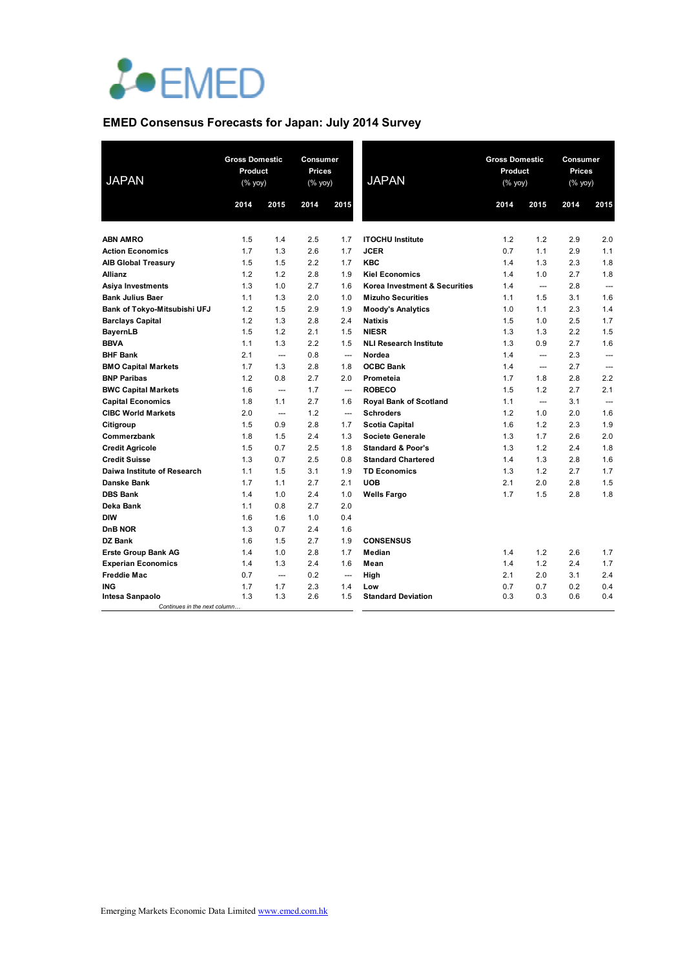

## **EMED Consensus Forecasts for Japan: July 2014 Survey**

| <b>JAPAN</b>                                    | <b>Gross Domestic</b><br>Product<br>(% yoy) |                          | Consumer<br><b>Prices</b><br>$(% \mathsf{Y}^{\prime }\mathsf{Y}^{\prime }\mathsf{Y}^{\prime })$ |                          | <b>JAPAN</b>                  | <b>Gross Domestic</b><br><b>Product</b><br>$(% \mathsf{Y}^{\prime }\mathsf{Y}^{\prime }\mathsf{Y}^{\prime })$ |                          | <b>Consumer</b><br><b>Prices</b><br>(% yoy) |                          |
|-------------------------------------------------|---------------------------------------------|--------------------------|-------------------------------------------------------------------------------------------------|--------------------------|-------------------------------|---------------------------------------------------------------------------------------------------------------|--------------------------|---------------------------------------------|--------------------------|
|                                                 | 2014                                        | 2015                     | 2014                                                                                            | 2015                     |                               | 2014                                                                                                          | 2015                     | 2014                                        | 2015                     |
|                                                 |                                             |                          |                                                                                                 |                          |                               |                                                                                                               |                          |                                             |                          |
| <b>ABN AMRO</b>                                 | 1.5                                         | 1.4                      | 2.5                                                                                             | 1.7                      | <b>ITOCHU Institute</b>       | 1.2                                                                                                           | 1.2                      | 2.9                                         | 2.0                      |
| <b>Action Economics</b>                         | 1.7                                         | 1.3                      | 2.6                                                                                             | 1.7                      | <b>JCER</b>                   | 0.7                                                                                                           | 1.1                      | 2.9                                         | 1.1                      |
| <b>AIB Global Treasury</b>                      | 1.5                                         | 1.5                      | 2.2                                                                                             | 1.7                      | <b>KBC</b>                    | 1.4                                                                                                           | 1.3                      | 2.3                                         | 1.8                      |
| Allianz                                         | 1.2                                         | 1.2                      | 2.8                                                                                             | 1.9                      | <b>Kiel Economics</b>         | 1.4                                                                                                           | 1.0                      | 2.7                                         | 1.8                      |
| Asiya Investments                               | 1.3                                         | 1.0                      | 2.7                                                                                             | 1.6                      | Korea Investment & Securities | 1.4                                                                                                           | $\overline{\phantom{a}}$ | 2.8                                         | $\overline{\phantom{a}}$ |
| <b>Bank Julius Baer</b>                         | 1.1                                         | 1.3                      | 2.0                                                                                             | 1.0                      | <b>Mizuho Securities</b>      | 1.1                                                                                                           | 1.5                      | 3.1                                         | 1.6                      |
| Bank of Tokyo-Mitsubishi UFJ                    | 1.2                                         | 1.5                      | 2.9                                                                                             | 1.9                      | <b>Moody's Analytics</b>      | 1.0                                                                                                           | 1.1                      | 2.3                                         | 1.4                      |
| <b>Barclays Capital</b>                         | 1.2                                         | 1.3                      | 2.8                                                                                             | 2.4                      | <b>Natixis</b>                | 1.5                                                                                                           | 1.0                      | 2.5                                         | 1.7                      |
| <b>BayernLB</b>                                 | 1.5                                         | 1.2                      | 2.1                                                                                             | 1.5                      | <b>NIESR</b>                  | 1.3                                                                                                           | 1.3                      | 2.2                                         | 1.5                      |
| <b>BBVA</b>                                     | 1.1                                         | 1.3                      | 2.2                                                                                             | 1.5                      | <b>NLI Research Institute</b> | 1.3                                                                                                           | 0.9                      | 2.7                                         | 1.6                      |
| <b>BHF Bank</b>                                 | 2.1                                         | ---                      | 0.8                                                                                             | ---                      | Nordea                        | 1.4                                                                                                           | ---                      | 2.3                                         | ---                      |
| <b>BMO Capital Markets</b>                      | 1.7                                         | 1.3                      | 2.8                                                                                             | 1.8                      | <b>OCBC Bank</b>              | 1.4                                                                                                           | $\overline{\phantom{a}}$ | 2.7                                         | $\overline{\phantom{a}}$ |
| <b>BNP Paribas</b>                              | 1.2                                         | 0.8                      | 2.7                                                                                             | 2.0                      | Prometeia                     | 1.7                                                                                                           | 1.8                      | 2.8                                         | 2.2                      |
| <b>BWC Capital Markets</b>                      | 1.6                                         | ---                      | 1.7                                                                                             | $\overline{\phantom{a}}$ | <b>ROBECO</b>                 | 1.5                                                                                                           | 1.2                      | 2.7                                         | 2.1                      |
| <b>Capital Economics</b>                        | 1.8                                         | 1.1                      | 2.7                                                                                             | 1.6                      | Royal Bank of Scotland        | 1.1                                                                                                           | ---                      | 3.1                                         | $\overline{\phantom{a}}$ |
| <b>CIBC World Markets</b>                       | 2.0                                         | $\overline{\phantom{a}}$ | 1.2                                                                                             | $\overline{\phantom{a}}$ | <b>Schroders</b>              | 1.2                                                                                                           | 1.0                      | 2.0                                         | 1.6                      |
| Citigroup                                       | 1.5                                         | 0.9                      | 2.8                                                                                             | 1.7                      | <b>Scotia Capital</b>         | 1.6                                                                                                           | 1.2                      | 2.3                                         | 1.9                      |
| Commerzbank                                     | 1.8                                         | 1.5                      | 2.4                                                                                             | 1.3                      | <b>Societe Generale</b>       | 1.3                                                                                                           | 1.7                      | 2.6                                         | 2.0                      |
| <b>Credit Agricole</b>                          | 1.5                                         | 0.7                      | 2.5                                                                                             | 1.8                      | <b>Standard &amp; Poor's</b>  | 1.3                                                                                                           | 1.2                      | 2.4                                         | 1.8                      |
| <b>Credit Suisse</b>                            | 1.3                                         | 0.7                      | 2.5                                                                                             | 0.8                      | <b>Standard Chartered</b>     | 1.4                                                                                                           | 1.3                      | 2.8                                         | 1.6                      |
| Daiwa Institute of Research                     | 1.1                                         | 1.5                      | 3.1                                                                                             | 1.9                      | <b>TD Economics</b>           | 1.3                                                                                                           | 1.2                      | 2.7                                         | 1.7                      |
| <b>Danske Bank</b>                              | 1.7                                         | 1.1                      | 2.7                                                                                             | 2.1                      | <b>UOB</b>                    | 2.1                                                                                                           | 2.0                      | 2.8                                         | 1.5                      |
| <b>DBS Bank</b>                                 | 1.4                                         | 1.0                      | 2.4                                                                                             | 1.0                      | <b>Wells Fargo</b>            | 1.7                                                                                                           | 1.5                      | 2.8                                         | 1.8                      |
| Deka Bank                                       | 1.1                                         | 0.8                      | 2.7                                                                                             | 2.0                      |                               |                                                                                                               |                          |                                             |                          |
| <b>DIW</b>                                      | 1.6                                         | 1.6                      | 1.0                                                                                             | 0.4                      |                               |                                                                                                               |                          |                                             |                          |
| DnB NOR                                         | 1.3                                         | 0.7                      | 2.4                                                                                             | 1.6                      |                               |                                                                                                               |                          |                                             |                          |
| DZ Bank                                         | 1.6                                         | 1.5                      | 2.7                                                                                             | 1.9                      | <b>CONSENSUS</b>              |                                                                                                               |                          |                                             |                          |
| <b>Erste Group Bank AG</b>                      | 1.4                                         | 1.0                      | 2.8                                                                                             | 1.7                      | Median                        | 1.4                                                                                                           | 1.2                      | 2.6                                         | 1.7                      |
| <b>Experian Economics</b>                       | 1.4                                         | 1.3                      | 2.4                                                                                             | 1.6                      | Mean                          | 1.4                                                                                                           | 1.2                      | 2.4                                         | 1.7                      |
| <b>Freddie Mac</b>                              | 0.7                                         | ---                      | 0.2                                                                                             | $-\!-\!$                 | High                          | 2.1                                                                                                           | 2.0                      | 3.1                                         | 2.4                      |
| ING                                             | 1.7                                         | 1.7                      | 2.3                                                                                             | 1.4                      | Low                           | 0.7                                                                                                           | 0.7                      | 0.2                                         | 0.4                      |
| Intesa Sanpaolo<br>Continues in the next column | 1.3                                         | 1.3                      | 2.6                                                                                             | 1.5                      | <b>Standard Deviation</b>     | 0.3                                                                                                           | 0.3                      | 0.6                                         | 0.4                      |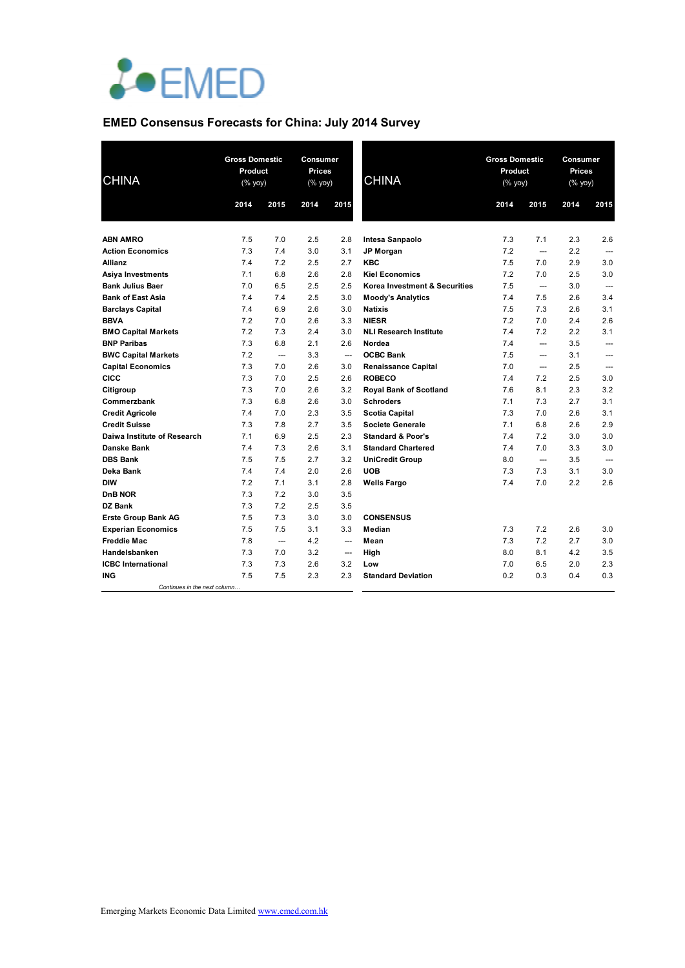

## **EMED Consensus Forecasts for China: July 2014 Survey**

| <b>CHINA</b>                 |      | <b>Gross Domestic</b><br>Product<br>(% yoy) |      | Consumer<br><b>Prices</b><br>(% yoy) | <b>CHINA</b>                  | <b>Gross Domestic</b><br>Product<br>$(% \mathsf{Y}\rightarrow \mathsf{Y})$ |                          | Consumer<br>Prices<br>$(%$ (% yoy) |                |
|------------------------------|------|---------------------------------------------|------|--------------------------------------|-------------------------------|----------------------------------------------------------------------------|--------------------------|------------------------------------|----------------|
|                              | 2014 | 2015                                        | 2014 | 2015                                 |                               | 2014                                                                       | 2015                     | 2014                               | 2015           |
| <b>ABN AMRO</b>              | 7.5  | 7.0                                         | 2.5  | 2.8                                  | Intesa Sanpaolo               | 7.3                                                                        | 7.1                      | 2.3                                | 2.6            |
| <b>Action Economics</b>      | 7.3  | 7.4                                         | 3.0  | 3.1                                  | <b>JP Morgan</b>              | 7.2                                                                        | ---                      | 2.2                                |                |
| <b>Allianz</b>               | 7.4  | 7.2                                         | 2.5  | 2.7                                  | <b>KBC</b>                    | 7.5                                                                        | 7.0                      | 2.9                                | 3.0            |
| Asiya Investments            | 7.1  | 6.8                                         | 2.6  | 2.8                                  | <b>Kiel Economics</b>         | 7.2                                                                        | 7.0                      | 2.5                                | 3.0            |
| <b>Bank Julius Baer</b>      | 7.0  | 6.5                                         | 2.5  | 2.5                                  | Korea Investment & Securities | 7.5                                                                        | ---                      | 3.0                                | $---$          |
| <b>Bank of East Asia</b>     | 7.4  | 7.4                                         | 2.5  | 3.0                                  | <b>Moody's Analytics</b>      | 7.4                                                                        | 7.5                      | 2.6                                | 3.4            |
| <b>Barclays Capital</b>      | 7.4  | 6.9                                         | 2.6  | 3.0                                  | <b>Natixis</b>                | 7.5                                                                        | 7.3                      | 2.6                                | 3.1            |
| <b>BBVA</b>                  | 7.2  | 7.0                                         | 2.6  | 3.3                                  | <b>NIESR</b>                  | 7.2                                                                        | 7.0                      | 2.4                                | 2.6            |
| <b>BMO Capital Markets</b>   | 7.2  | 7.3                                         | 2.4  | 3.0                                  | <b>NLI Research Institute</b> | 7.4                                                                        | 7.2                      | 2.2                                | 3.1            |
| <b>BNP Paribas</b>           | 7.3  | 6.8                                         | 2.1  | 2.6                                  | Nordea                        | 7.4                                                                        | ---                      | 3.5                                | ---            |
| <b>BWC Capital Markets</b>   | 7.2  | $\overline{\phantom{a}}$                    | 3.3  | $\overline{\phantom{a}}$             | <b>OCBC Bank</b>              | 7.5                                                                        | ---                      | 3.1                                | ---            |
| <b>Capital Economics</b>     | 7.3  | 7.0                                         | 2.6  | 3.0                                  | <b>Renaissance Capital</b>    | 7.0                                                                        | ---                      | 2.5                                | $\overline{a}$ |
| <b>CICC</b>                  | 7.3  | 7.0                                         | 2.5  | 2.6                                  | <b>ROBECO</b>                 | 7.4                                                                        | 7.2                      | 2.5                                | 3.0            |
| Citigroup                    | 7.3  | 7.0                                         | 2.6  | 3.2                                  | <b>Royal Bank of Scotland</b> | 7.6                                                                        | 8.1                      | 2.3                                | 3.2            |
| Commerzbank                  | 7.3  | 6.8                                         | 2.6  | 3.0                                  | <b>Schroders</b>              | 7.1                                                                        | 7.3                      | 2.7                                | 3.1            |
| <b>Credit Agricole</b>       | 7.4  | 7.0                                         | 2.3  | 3.5                                  | <b>Scotia Capital</b>         | 7.3                                                                        | 7.0                      | 2.6                                | 3.1            |
| <b>Credit Suisse</b>         | 7.3  | 7.8                                         | 2.7  | 3.5                                  | <b>Societe Generale</b>       | 7.1                                                                        | 6.8                      | 2.6                                | 2.9            |
| Daiwa Institute of Research  | 7.1  | 6.9                                         | 2.5  | 2.3                                  | <b>Standard &amp; Poor's</b>  | 7.4                                                                        | 7.2                      | 3.0                                | 3.0            |
| <b>Danske Bank</b>           | 7.4  | 7.3                                         | 2.6  | 3.1                                  | <b>Standard Chartered</b>     | 7.4                                                                        | 7.0                      | 3.3                                | 3.0            |
| <b>DBS Bank</b>              | 7.5  | 7.5                                         | 2.7  | 3.2                                  | <b>UniCredit Group</b>        | 8.0                                                                        | $\overline{\phantom{a}}$ | 3.5                                |                |
| Deka Bank                    | 7.4  | 7.4                                         | 2.0  | 2.6                                  | <b>UOB</b>                    | 7.3                                                                        | 7.3                      | 3.1                                | 3.0            |
| <b>DIW</b>                   | 7.2  | 7.1                                         | 3.1  | 2.8                                  | <b>Wells Fargo</b>            | 7.4                                                                        | 7.0                      | 2.2                                | 2.6            |
| DnB NOR                      | 7.3  | 7.2                                         | 3.0  | 3.5                                  |                               |                                                                            |                          |                                    |                |
| DZ Bank                      | 7.3  | 7.2                                         | 2.5  | 3.5                                  |                               |                                                                            |                          |                                    |                |
| <b>Erste Group Bank AG</b>   | 7.5  | 7.3                                         | 3.0  | 3.0                                  | <b>CONSENSUS</b>              |                                                                            |                          |                                    |                |
| <b>Experian Economics</b>    | 7.5  | 7.5                                         | 3.1  | 3.3                                  | Median                        | 7.3                                                                        | 7.2                      | 2.6                                | 3.0            |
| <b>Freddie Mac</b>           | 7.8  | $-$                                         | 4.2  | $\overline{\phantom{a}}$             | Mean                          | 7.3                                                                        | 7.2                      | 2.7                                | 3.0            |
| Handelsbanken                | 7.3  | 7.0                                         | 3.2  | $-\frac{1}{2}$                       | High                          | 8.0                                                                        | 8.1                      | 4.2                                | 3.5            |
| <b>ICBC</b> International    | 7.3  | 7.3                                         | 2.6  | 3.2                                  | Low                           | 7.0                                                                        | 6.5                      | 2.0                                | 2.3            |
| <b>ING</b>                   | 7.5  | 7.5                                         | 2.3  | 2.3                                  | <b>Standard Deviation</b>     | 0.2                                                                        | 0.3                      | 0.4                                | 0.3            |
| Continues in the next column |      |                                             |      |                                      |                               |                                                                            |                          |                                    |                |